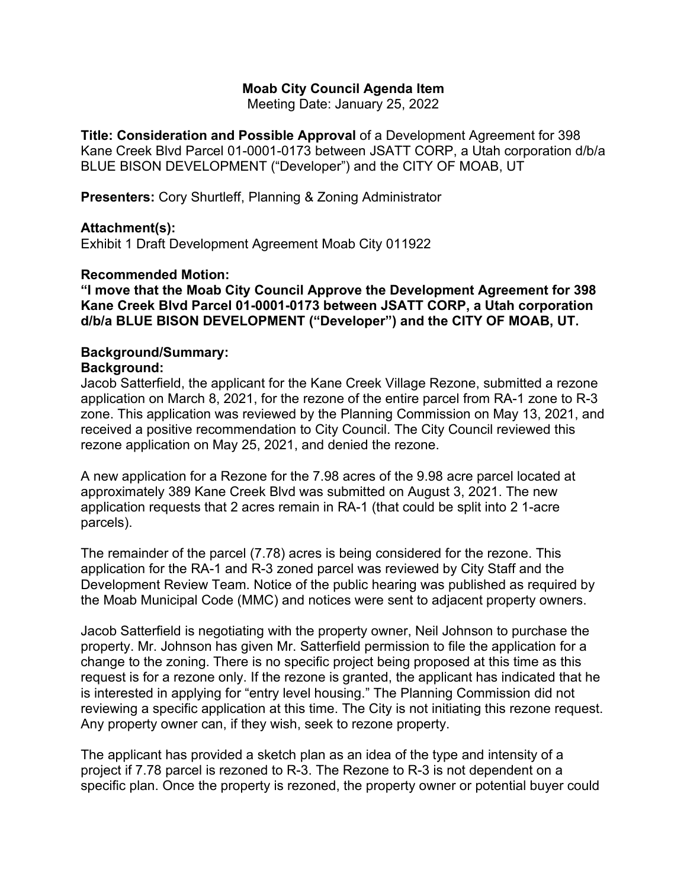### **Moab City Council Agenda Item**

Meeting Date: January 25, 2022

**Title: Consideration and Possible Approval** of a Development Agreement for 398 Kane Creek Blvd Parcel 01-0001-0173 between JSATT CORP, a Utah corporation d/b/a BLUE BISON DEVELOPMENT ("Developer") and the CITY OF MOAB, UT

**Presenters:** Cory Shurtleff, Planning & Zoning Administrator

# **Attachment(s):**

Exhibit 1 Draft Development Agreement Moab City 011922

### **Recommended Motion:**

**"I move that the Moab City Council Approve the Development Agreement for 398 Kane Creek Blvd Parcel 01-0001-0173 between JSATT CORP, a Utah corporation d/b/a BLUE BISON DEVELOPMENT ("Developer") and the CITY OF MOAB, UT.**

#### **Background/Summary: Background:**

Jacob Satterfield, the applicant for the Kane Creek Village Rezone, submitted a rezone application on March 8, 2021, for the rezone of the entire parcel from RA-1 zone to R-3 zone. This application was reviewed by the Planning Commission on May 13, 2021, and received a positive recommendation to City Council. The City Council reviewed this rezone application on May 25, 2021, and denied the rezone.

A new application for a Rezone for the 7.98 acres of the 9.98 acre parcel located at approximately 389 Kane Creek Blvd was submitted on August 3, 2021. The new application requests that 2 acres remain in RA-1 (that could be split into 2 1-acre parcels).

The remainder of the parcel (7.78) acres is being considered for the rezone. This application for the RA-1 and R-3 zoned parcel was reviewed by City Staff and the Development Review Team. Notice of the public hearing was published as required by the Moab Municipal Code (MMC) and notices were sent to adjacent property owners.

Jacob Satterfield is negotiating with the property owner, Neil Johnson to purchase the property. Mr. Johnson has given Mr. Satterfield permission to file the application for a change to the zoning. There is no specific project being proposed at this time as this request is for a rezone only. If the rezone is granted, the applicant has indicated that he is interested in applying for "entry level housing." The Planning Commission did not reviewing a specific application at this time. The City is not initiating this rezone request. Any property owner can, if they wish, seek to rezone property.

The applicant has provided a sketch plan as an idea of the type and intensity of a project if 7.78 parcel is rezoned to R-3. The Rezone to R-3 is not dependent on a specific plan. Once the property is rezoned, the property owner or potential buyer could